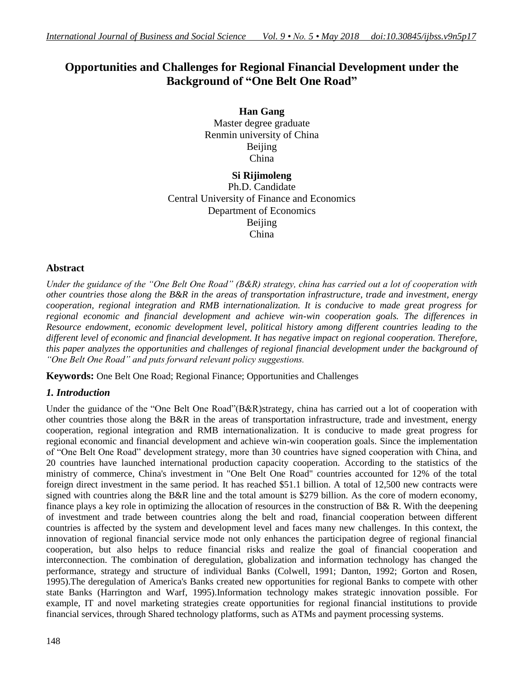# **Opportunities and Challenges for Regional Financial Development under the Background of "One Belt One Road"**

**Han Gang** Master degree graduate Renmin university of China Beijing China

**Si Rijimoleng** Ph.D. Candidate Central University of Finance and Economics Department of Economics Beijing China

### **Abstract**

*Under the guidance of the "One Belt One Road" (B&R) strategy, china has carried out a lot of cooperation with other countries those along the B&R in the areas of transportation infrastructure, trade and investment, energy cooperation, regional integration and RMB internationalization. It is conducive to made great progress for regional economic and financial development and achieve win-win cooperation goals. The differences in Resource endowment, economic development level, political history among different countries leading to the different level of economic and financial development. It has negative impact on regional cooperation. Therefore, this paper analyzes the opportunities and challenges of regional financial development under the background of "One Belt One Road" and puts forward relevant policy suggestions.*

**Keywords:** One Belt One Road; Regional Finance; Opportunities and Challenges

# *1. Introduction*

Under the guidance of the "One Belt One Road"(B&R)strategy, china has carried out a lot of cooperation with other countries those along the B&R in the areas of transportation infrastructure, trade and investment, energy cooperation, regional integration and RMB internationalization. It is conducive to made great progress for regional economic and financial development and achieve win-win cooperation goals. Since the implementation of "One Belt One Road" development strategy, more than 30 countries have signed cooperation with China, and 20 countries have launched international production capacity cooperation. According to the statistics of the ministry of commerce, China's investment in "One Belt One Road" countries accounted for 12% of the total foreign direct investment in the same period. It has reached \$51.1 billion. A total of 12,500 new contracts were signed with countries along the B&R line and the total amount is \$279 billion. As the core of modern economy, finance plays a key role in optimizing the allocation of resources in the construction of B& R. With the deepening of investment and trade between countries along the belt and road, financial cooperation between different countries is affected by the system and development level and faces many new challenges. In this context, the innovation of regional financial service mode not only enhances the participation degree of regional financial cooperation, but also helps to reduce financial risks and realize the goal of financial cooperation and interconnection. The combination of deregulation, globalization and information technology has changed the performance, strategy and structure of individual Banks (Colwell, 1991; Danton, 1992; Gorton and Rosen, 1995).The deregulation of America's Banks created new opportunities for regional Banks to compete with other state Banks (Harrington and Warf, 1995).Information technology makes strategic innovation possible. For example, IT and novel marketing strategies create opportunities for regional financial institutions to provide financial services, through Shared technology platforms, such as ATMs and payment processing systems.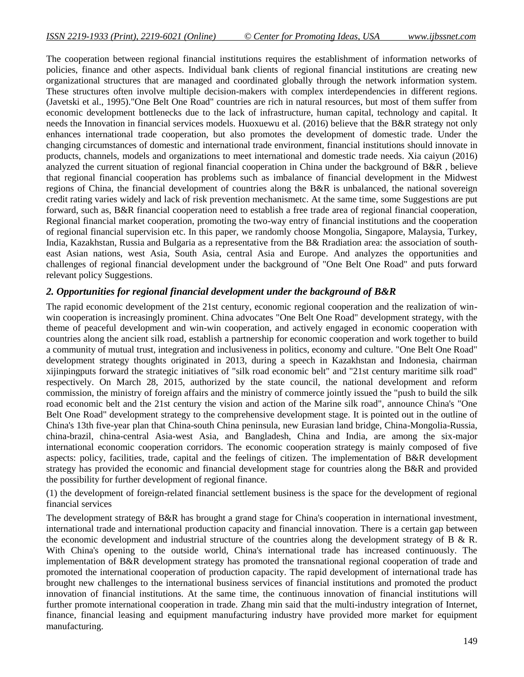The cooperation between regional financial institutions requires the establishment of information networks of policies, finance and other aspects. Individual bank clients of regional financial institutions are creating new organizational structures that are managed and coordinated globally through the network information system. These structures often involve multiple decision-makers with complex interdependencies in different regions. (Javetski et al., 1995)."One Belt One Road" countries are rich in natural resources, but most of them suffer from economic development bottlenecks due to the lack of infrastructure, human capital, technology and capital. It needs the Innovation in financial services models. Huoxuewu et al. (2016) believe that the B&R strategy not only enhances international trade cooperation, but also promotes the development of domestic trade. Under the changing circumstances of domestic and international trade environment, financial institutions should innovate in products, channels, models and organizations to meet international and domestic trade needs. Xia caiyun (2016) analyzed the current situation of regional financial cooperation in China under the background of B&R , believe that regional financial cooperation has problems such as imbalance of financial development in the Midwest regions of China, the financial development of countries along the B&R is unbalanced, the national sovereign credit rating varies widely and lack of risk prevention mechanismetc. At the same time, some Suggestions are put forward, such as, B&R financial cooperation need to establish a free trade area of regional financial cooperation, Regional financial market cooperation, promoting the two-way entry of financial institutions and the cooperation of regional financial supervision etc. In this paper, we randomly choose Mongolia, Singapore, Malaysia, Turkey, India, Kazakhstan, Russia and Bulgaria as a representative from the B& Rradiation area: the association of southeast Asian nations, west Asia, South Asia, central Asia and Europe. And analyzes the opportunities and challenges of regional financial development under the background of "One Belt One Road" and puts forward relevant policy Suggestions.

# *2. Opportunities for regional financial development under the background of B&R*

The rapid economic development of the 21st century, economic regional cooperation and the realization of winwin cooperation is increasingly prominent. China advocates "One Belt One Road" development strategy, with the theme of peaceful development and win-win cooperation, and actively engaged in economic cooperation with countries along the ancient silk road, establish a partnership for economic cooperation and work together to build a community of mutual trust, integration and inclusiveness in politics, economy and culture. "One Belt One Road" development strategy thoughts originated in 2013, during a speech in Kazakhstan and Indonesia, chairman xijinpingputs forward the strategic initiatives of "silk road economic belt" and "21st century maritime silk road" respectively. On March 28, 2015, authorized by the state council, the national development and reform commission, the ministry of foreign affairs and the ministry of commerce jointly issued the "push to build the silk road economic belt and the 21st century the vision and action of the Marine silk road", announce China's "One Belt One Road" development strategy to the comprehensive development stage. It is pointed out in the outline of China's 13th five-year plan that China-south China peninsula, new Eurasian land bridge, China-Mongolia-Russia, china-brazil, china-central Asia-west Asia, and Bangladesh, China and India, are among the six-major international economic cooperation corridors. The economic cooperation strategy is mainly composed of five aspects: policy, facilities, trade, capital and the feelings of citizen. The implementation of B&R development strategy has provided the economic and financial development stage for countries along the B&R and provided the possibility for further development of regional finance.

(1) the development of foreign-related financial settlement business is the space for the development of regional financial services

The development strategy of B&R has brought a grand stage for China's cooperation in international investment, international trade and international production capacity and financial innovation. There is a certain gap between the economic development and industrial structure of the countries along the development strategy of B  $\&$  R. With China's opening to the outside world, China's international trade has increased continuously. The implementation of B&R development strategy has promoted the transnational regional cooperation of trade and promoted the international cooperation of production capacity. The rapid development of international trade has brought new challenges to the international business services of financial institutions and promoted the product innovation of financial institutions. At the same time, the continuous innovation of financial institutions will further promote international cooperation in trade. Zhang min said that the multi-industry integration of Internet, finance, financial leasing and equipment manufacturing industry have provided more market for equipment manufacturing.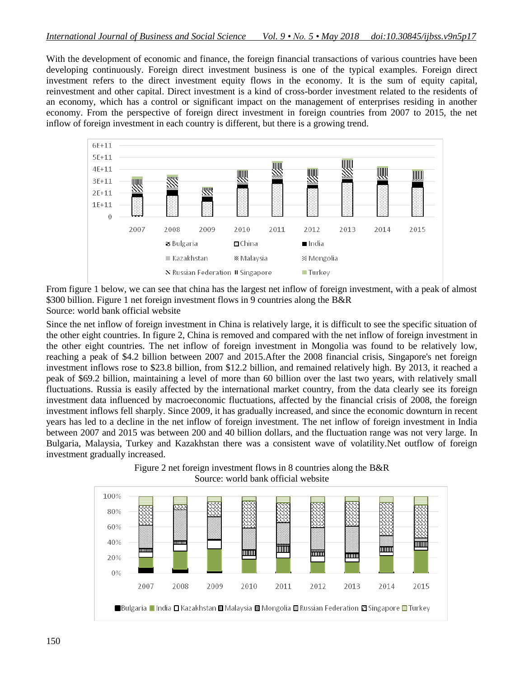With the development of economic and finance, the foreign financial transactions of various countries have been developing continuously. Foreign direct investment business is one of the typical examples. Foreign direct investment refers to the direct investment equity flows in the economy. It is the sum of equity capital, reinvestment and other capital. Direct investment is a kind of cross-border investment related to the residents of an economy, which has a control or significant impact on the management of enterprises residing in another economy. From the perspective of foreign direct investment in foreign countries from 2007 to 2015, the net inflow of foreign investment in each country is different, but there is a growing trend.



From figure 1 below, we can see that china has the largest net inflow of foreign investment, with a peak of almost \$300 billion. Figure 1 net foreign investment flows in 9 countries along the B&R Source: world bank official website

Since the net inflow of foreign investment in China is relatively large, it is difficult to see the specific situation of the other eight countries. In figure 2, China is removed and compared with the net inflow of foreign investment in the other eight countries. The net inflow of foreign investment in Mongolia was found to be relatively low, reaching a peak of \$4.2 billion between 2007 and 2015.After the 2008 financial crisis, Singapore's net foreign investment inflows rose to \$23.8 billion, from \$12.2 billion, and remained relatively high. By 2013, it reached a peak of \$69.2 billion, maintaining a level of more than 60 billion over the last two years, with relatively small fluctuations. Russia is easily affected by the international market country, from the data clearly see its foreign investment data influenced by macroeconomic fluctuations, affected by the financial crisis of 2008, the foreign investment inflows fell sharply. Since 2009, it has gradually increased, and since the economic downturn in recent years has led to a decline in the net inflow of foreign investment. The net inflow of foreign investment in India between 2007 and 2015 was between 200 and 40 billion dollars, and the fluctuation range was not very large. In Bulgaria, Malaysia, Turkey and Kazakhstan there was a consistent wave of volatility.Net outflow of foreign investment gradually increased.



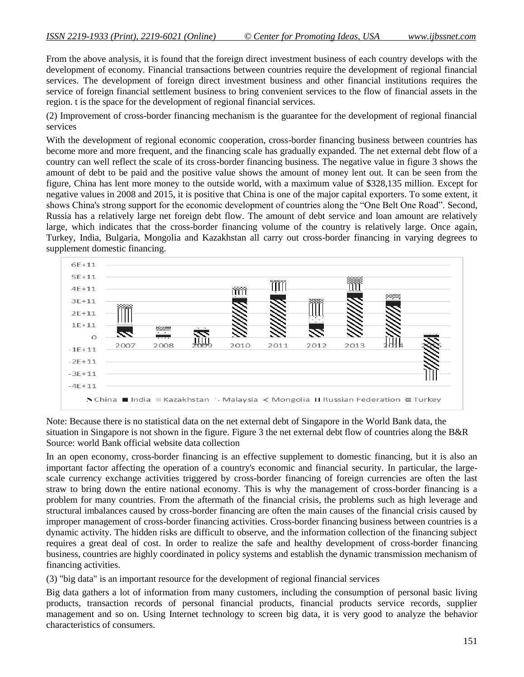From the above analysis, it is found that the foreign direct investment business of each country develops with the development of economy. Financial transactions between countries require the development of regional financial services. The development of foreign direct investment business and other financial institutions requires the service of foreign financial settlement business to bring convenient services to the flow of financial assets in the region. t is the space for the development of regional financial services.

(2) Improvement of cross-border financing mechanism is the guarantee for the development of regional financial services

With the development of regional economic cooperation, cross-border financing business between countries has become more and more frequent, and the financing scale has gradually expanded. The net external debt flow of a country can well reflect the scale of its cross-border financing business. The negative value in figure 3 shows the amount of debt to be paid and the positive value shows the amount of money lent out. It can be seen from the figure, China has lent more money to the outside world, with a maximum value of \$328,135 million. Except for negative values in 2008 and 2015, it is positive that China is one of the major capital exporters. To some extent, it shows China's strong support for the economic development of countries along the "One Belt One Road". Second, Russia has a relatively large net foreign debt flow. The amount of debt service and loan amount are relatively large, which indicates that the cross-border financing volume of the country is relatively large. Once again, Turkey, India, Bulgaria, Mongolia and Kazakhstan all carry out cross-border financing in varying degrees to supplement domestic financing.



Note: Because there is no statistical data on the net external debt of Singapore in the World Bank data, the situation in Singapore is not shown in the figure. Figure 3 the net external debt flow of countries along the B&R Source: world Bank official website data collection

In an open economy, cross-border financing is an effective supplement to domestic financing, but it is also an important factor affecting the operation of a country's economic and financial security. In particular, the largescale currency exchange activities triggered by cross-border financing of foreign currencies are often the last straw to bring down the entire national economy. This is why the management of cross-border financing is a problem for many countries. From the aftermath of the financial crisis, the problems such as high leverage and structural imbalances caused by cross-border financing are often the main causes of the financial crisis caused by improper management of cross-border financing activities. Cross-border financing business between countries is a dynamic activity. The hidden risks are difficult to observe, and the information collection of the financing subject requires a great deal of cost. In order to realize the safe and healthy development of cross-border financing business, countries are highly coordinated in policy systems and establish the dynamic transmission mechanism of financing activities.

(3) "big data" is an important resource for the development of regional financial services

Big data gathers a lot of information from many customers, including the consumption of personal basic living products, transaction records of personal financial products, financial products service records, supplier management and so on. Using Internet technology to screen big data, it is very good to analyze the behavior characteristics of consumers.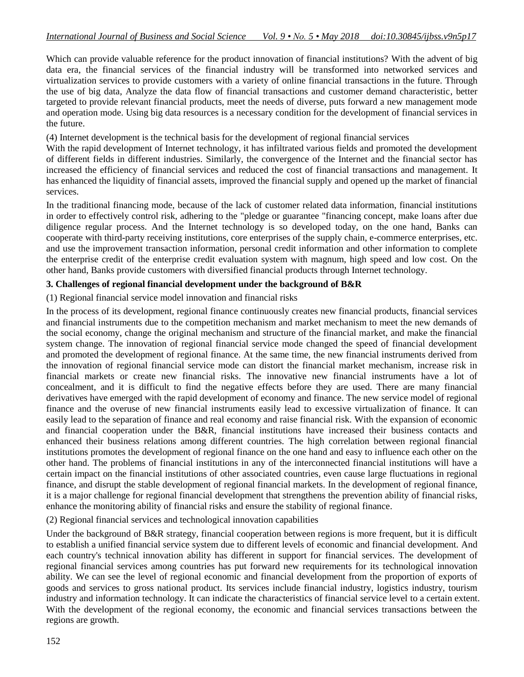Which can provide valuable reference for the product innovation of financial institutions? With the advent of big data era, the financial services of the financial industry will be transformed into networked services and virtualization services to provide customers with a variety of online financial transactions in the future. Through the use of big data, Analyze the data flow of financial transactions and customer demand characteristic, better targeted to provide relevant financial products, meet the needs of diverse, puts forward a new management mode and operation mode. Using big data resources is a necessary condition for the development of financial services in the future.

(4) Internet development is the technical basis for the development of regional financial services

With the rapid development of Internet technology, it has infiltrated various fields and promoted the development of different fields in different industries. Similarly, the convergence of the Internet and the financial sector has increased the efficiency of financial services and reduced the cost of financial transactions and management. It has enhanced the liquidity of financial assets, improved the financial supply and opened up the market of financial services.

In the traditional financing mode, because of the lack of customer related data information, financial institutions in order to effectively control risk, adhering to the "pledge or guarantee "financing concept, make loans after due diligence regular process. And the Internet technology is so developed today, on the one hand, Banks can cooperate with third-party receiving institutions, core enterprises of the supply chain, e-commerce enterprises, etc. and use the improvement transaction information, personal credit information and other information to complete the enterprise credit of the enterprise credit evaluation system with magnum, high speed and low cost. On the other hand, Banks provide customers with diversified financial products through Internet technology.

### **3. Challenges of regional financial development under the background of B&R**

(1) Regional financial service model innovation and financial risks

In the process of its development, regional finance continuously creates new financial products, financial services and financial instruments due to the competition mechanism and market mechanism to meet the new demands of the social economy, change the original mechanism and structure of the financial market, and make the financial system change. The innovation of regional financial service mode changed the speed of financial development and promoted the development of regional finance. At the same time, the new financial instruments derived from the innovation of regional financial service mode can distort the financial market mechanism, increase risk in financial markets or create new financial risks. The innovative new financial instruments have a lot of concealment, and it is difficult to find the negative effects before they are used. There are many financial derivatives have emerged with the rapid development of economy and finance. The new service model of regional finance and the overuse of new financial instruments easily lead to excessive virtualization of finance. It can easily lead to the separation of finance and real economy and raise financial risk. With the expansion of economic and financial cooperation under the B&R, financial institutions have increased their business contacts and enhanced their business relations among different countries. The high correlation between regional financial institutions promotes the development of regional finance on the one hand and easy to influence each other on the other hand. The problems of financial institutions in any of the interconnected financial institutions will have a certain impact on the financial institutions of other associated countries, even cause large fluctuations in regional finance, and disrupt the stable development of regional financial markets. In the development of regional finance, it is a major challenge for regional financial development that strengthens the prevention ability of financial risks, enhance the monitoring ability of financial risks and ensure the stability of regional finance.

(2) Regional financial services and technological innovation capabilities

Under the background of B&R strategy, financial cooperation between regions is more frequent, but it is difficult to establish a unified financial service system due to different levels of economic and financial development. And each country's technical innovation ability has different in support for financial services. The development of regional financial services among countries has put forward new requirements for its technological innovation ability. We can see the level of regional economic and financial development from the proportion of exports of goods and services to gross national product. Its services include financial industry, logistics industry, tourism industry and information technology. It can indicate the characteristics of financial service level to a certain extent. With the development of the regional economy, the economic and financial services transactions between the regions are growth.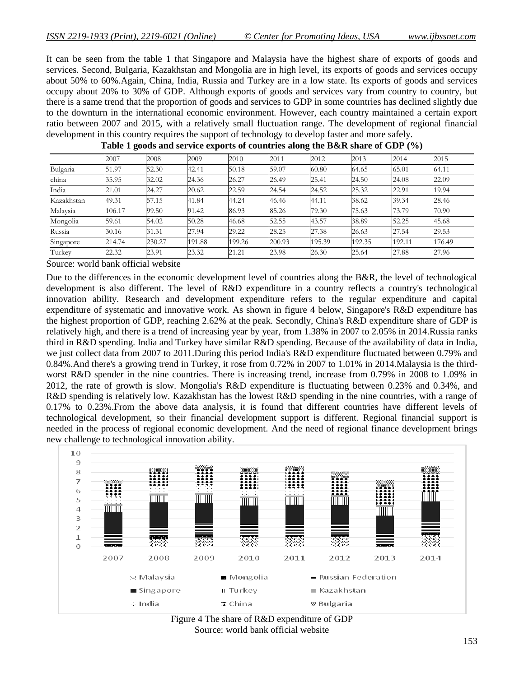It can be seen from the table 1 that Singapore and Malaysia have the highest share of exports of goods and services. Second, Bulgaria, Kazakhstan and Mongolia are in high level, its exports of goods and services occupy about 50% to 60%.Again, China, India, Russia and Turkey are in a low state. Its exports of goods and services occupy about 20% to 30% of GDP. Although exports of goods and services vary from country to country, but there is a same trend that the proportion of goods and services to GDP in some countries has declined slightly due to the downturn in the international economic environment. However, each country maintained a certain export ratio between 2007 and 2015, with a relatively small fluctuation range. The development of regional financial development in this country requires the support of technology to develop faster and more safely.

|            | 2007   | 2008   | 2009   | 2010   | 2011   | 2012   | 2013   | 2014   | 2015   |
|------------|--------|--------|--------|--------|--------|--------|--------|--------|--------|
| Bulgaria   | 51.97  | 52.30  | 42.41  | 50.18  | 59.07  | 60.80  | 64.65  | 65.01  | 64.11  |
| china      | 35.95  | 32.02  | 24.36  | 26.27  | 26.49  | 25.41  | 24.50  | 24.08  | 22.09  |
| India      | 21.01  | 24.27  | 20.62  | 22.59  | 24.54  | 24.52  | 25.32  | 22.91  | 19.94  |
| Kazakhstan | 49.31  | 57.15  | 41.84  | 44.24  | 46.46  | 44.11  | 38.62  | 39.34  | 28.46  |
| Malaysia   | 106.17 | 99.50  | 91.42  | 86.93  | 85.26  | 79.30  | 75.63  | 73.79  | 70.90  |
| Mongolia   | 59.61  | 54.02  | 50.28  | 46.68  | 52.55  | 43.57  | 38.89  | 52.25  | 45.68  |
| Russia     | 30.16  | 31.31  | 27.94  | 29.22  | 28.25  | 27.38  | 26.63  | 27.54  | 29.53  |
| Singapore  | 214.74 | 230.27 | 191.88 | 199.26 | 200.93 | 195.39 | 192.35 | 192.11 | 176.49 |
| Turkey     | 22.32  | 23.91  | 23.32  | 21.21  | 23.98  | 26.30  | 25.64  | 27.88  | 27.96  |

#### **Table 1 goods and service exports of countries along the B&R share of GDP (%)**

Source: world bank official website

Due to the differences in the economic development level of countries along the B&R, the level of technological development is also different. The level of R&D expenditure in a country reflects a country's technological innovation ability. Research and development expenditure refers to the regular expenditure and capital expenditure of systematic and innovative work. As shown in figure 4 below, Singapore's R&D expenditure has the highest proportion of GDP, reaching 2.62% at the peak. Secondly, China's R&D expenditure share of GDP is relatively high, and there is a trend of increasing year by year, from 1.38% in 2007 to 2.05% in 2014.Russia ranks third in R&D spending. India and Turkey have similar R&D spending. Because of the availability of data in India, we just collect data from 2007 to 2011.During this period India's R&D expenditure fluctuated between 0.79% and 0.84%.And there's a growing trend in Turkey, it rose from 0.72% in 2007 to 1.01% in 2014.Malaysia is the thirdworst R&D spender in the nine countries. There is increasing trend, increase from 0.79% in 2008 to 1.09% in 2012, the rate of growth is slow. Mongolia's R&D expenditure is fluctuating between 0.23% and 0.34%, and R&D spending is relatively low. Kazakhstan has the lowest R&D spending in the nine countries, with a range of 0.17% to 0.23%.From the above data analysis, it is found that different countries have different levels of technological development, so their financial development support is different. Regional financial support is needed in the process of regional economic development. And the need of regional finance development brings new challenge to technological innovation ability.



Figure 4 The share of R&D expenditure of GDP Source: world bank official website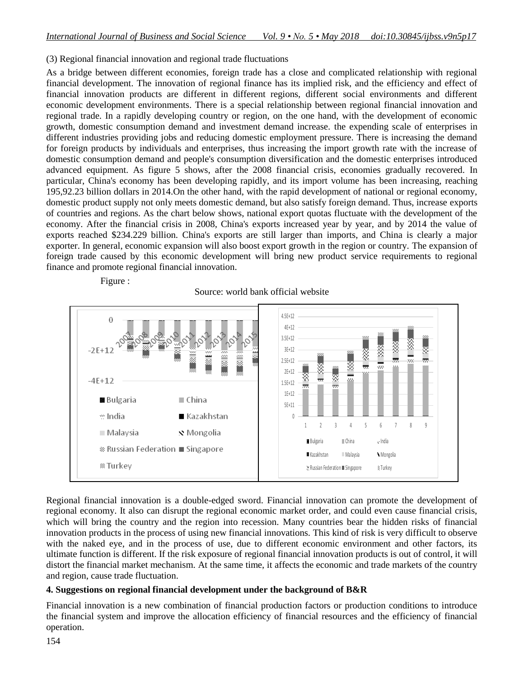### (3) Regional financial innovation and regional trade fluctuations

As a bridge between different economies, foreign trade has a close and complicated relationship with regional financial development. The innovation of regional finance has its implied risk, and the efficiency and effect of financial innovation products are different in different regions, different social environments and different economic development environments. There is a special relationship between regional financial innovation and regional trade. In a rapidly developing country or region, on the one hand, with the development of economic growth, domestic consumption demand and investment demand increase. the expending scale of enterprises in different industries providing jobs and reducing domestic employment pressure. There is increasing the demand for foreign products by individuals and enterprises, thus increasing the import growth rate with the increase of domestic consumption demand and people's consumption diversification and the domestic enterprises introduced advanced equipment. As figure 5 shows, after the 2008 financial crisis, economies gradually recovered. In particular, China's economy has been developing rapidly, and its import volume has been increasing, reaching 195,92.23 billion dollars in 2014.On the other hand, with the rapid development of national or regional economy, domestic product supply not only meets domestic demand, but also satisfy foreign demand. Thus, increase exports of countries and regions. As the chart below shows, national export quotas fluctuate with the development of the economy. After the financial crisis in 2008, China's exports increased year by year, and by 2014 the value of exports reached \$234.229 billion. China's exports are still larger than imports, and China is clearly a major exporter. In general, economic expansion will also boost export growth in the region or country. The expansion of foreign trade caused by this economic development will bring new product service requirements to regional finance and promote regional financial innovation.

Figure :

### Source: world bank official website



Regional financial innovation is a double-edged sword. Financial innovation can promote the development of regional economy. It also can disrupt the regional economic market order, and could even cause financial crisis, which will bring the country and the region into recession. Many countries bear the hidden risks of financial innovation products in the process of using new financial innovations. This kind of risk is very difficult to observe with the naked eye, and in the process of use, due to different economic environment and other factors, its ultimate function is different. If the risk exposure of regional financial innovation products is out of control, it will distort the financial market mechanism. At the same time, it affects the economic and trade markets of the country and region, cause trade fluctuation.

### **4. Suggestions on regional financial development under the background of B&R**

Financial innovation is a new combination of financial production factors or production conditions to introduce the financial system and improve the allocation efficiency of financial resources and the efficiency of financial operation.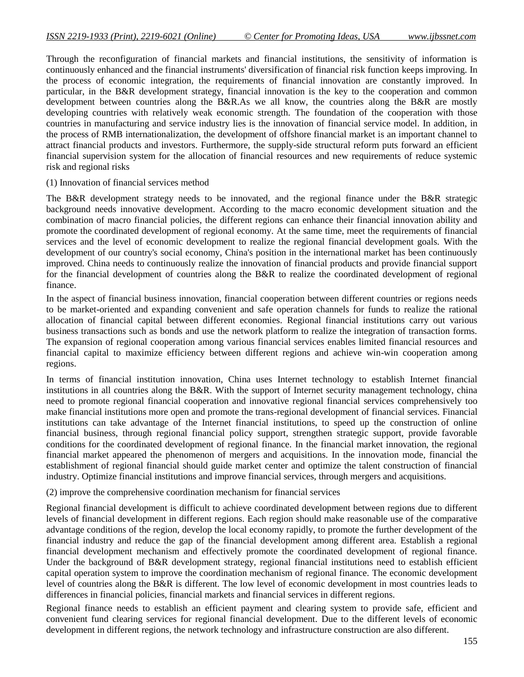Through the reconfiguration of financial markets and financial institutions, the sensitivity of information is continuously enhanced and the financial instruments' diversification of financial risk function keeps improving. In the process of economic integration, the requirements of financial innovation are constantly improved. In particular, in the B&R development strategy, financial innovation is the key to the cooperation and common development between countries along the B&R.As we all know, the countries along the B&R are mostly developing countries with relatively weak economic strength. The foundation of the cooperation with those countries in manufacturing and service industry lies is the innovation of financial service model. In addition, in the process of RMB internationalization, the development of offshore financial market is an important channel to attract financial products and investors. Furthermore, the supply-side structural reform puts forward an efficient financial supervision system for the allocation of financial resources and new requirements of reduce systemic risk and regional risks

#### (1) Innovation of financial services method

The B&R development strategy needs to be innovated, and the regional finance under the B&R strategic background needs innovative development. According to the macro economic development situation and the combination of macro financial policies, the different regions can enhance their financial innovation ability and promote the coordinated development of regional economy. At the same time, meet the requirements of financial services and the level of economic development to realize the regional financial development goals. With the development of our country's social economy, China's position in the international market has been continuously improved. China needs to continuously realize the innovation of financial products and provide financial support for the financial development of countries along the B&R to realize the coordinated development of regional finance.

In the aspect of financial business innovation, financial cooperation between different countries or regions needs to be market-oriented and expanding convenient and safe operation channels for funds to realize the rational allocation of financial capital between different economies. Regional financial institutions carry out various business transactions such as bonds and use the network platform to realize the integration of transaction forms. The expansion of regional cooperation among various financial services enables limited financial resources and financial capital to maximize efficiency between different regions and achieve win-win cooperation among regions.

In terms of financial institution innovation, China uses Internet technology to establish Internet financial institutions in all countries along the B&R. With the support of Internet security management technology, china need to promote regional financial cooperation and innovative regional financial services comprehensively too make financial institutions more open and promote the trans-regional development of financial services. Financial institutions can take advantage of the Internet financial institutions, to speed up the construction of online financial business, through regional financial policy support, strengthen strategic support, provide favorable conditions for the coordinated development of regional finance. In the financial market innovation, the regional financial market appeared the phenomenon of mergers and acquisitions. In the innovation mode, financial the establishment of regional financial should guide market center and optimize the talent construction of financial industry. Optimize financial institutions and improve financial services, through mergers and acquisitions.

#### (2) improve the comprehensive coordination mechanism for financial services

Regional financial development is difficult to achieve coordinated development between regions due to different levels of financial development in different regions. Each region should make reasonable use of the comparative advantage conditions of the region, develop the local economy rapidly, to promote the further development of the financial industry and reduce the gap of the financial development among different area. Establish a regional financial development mechanism and effectively promote the coordinated development of regional finance. Under the background of B&R development strategy, regional financial institutions need to establish efficient capital operation system to improve the coordination mechanism of regional finance. The economic development level of countries along the B&R is different. The low level of economic development in most countries leads to differences in financial policies, financial markets and financial services in different regions.

Regional finance needs to establish an efficient payment and clearing system to provide safe, efficient and convenient fund clearing services for regional financial development. Due to the different levels of economic development in different regions, the network technology and infrastructure construction are also different.